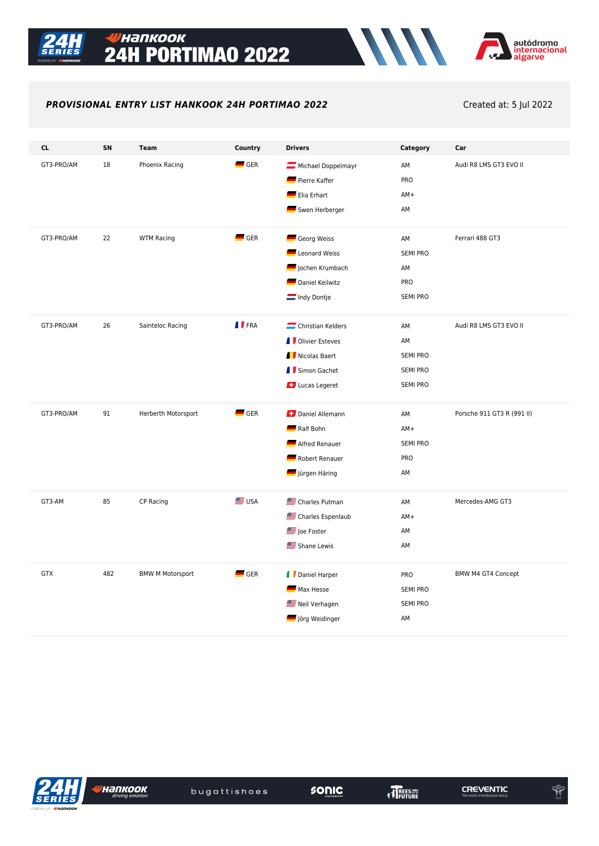

### **ИАПКООК 24H PORTIMAO 2022**



### **PROVISIONAL ENTRY LIST HANKOOK 24H PORTIMAO 2022** Created at: 5 Jul 2022

| <b>CL</b>  | SN  | <b>Team</b>             | Country            | <b>Drivers</b>            | Category        | Car                        |
|------------|-----|-------------------------|--------------------|---------------------------|-----------------|----------------------------|
| GT3-PRO/AM | 18  | Phoenix Racing          | $\blacksquare$ GER | Michael Doppelmayr        | AM              | Audi R8 LMS GT3 EVO II     |
|            |     |                         |                    | Pierre Kaffer             | PRO             |                            |
|            |     |                         |                    | Elia Erhart               | $AM+$           |                            |
|            |     |                         |                    | Swen Herberger            | AM              |                            |
|            |     |                         |                    |                           |                 |                            |
| GT3-PRO/AM | 22  | <b>WTM Racing</b>       | $\blacksquare$ GER | Georg Weiss               | AM              | Ferrari 488 GT3            |
|            |     |                         |                    | Leonard Weiss             | <b>SEMI PRO</b> |                            |
|            |     |                         |                    | Jochen Krumbach           | AM              |                            |
|            |     |                         |                    | Daniel Keilwitz           | PRO             |                            |
|            |     |                         |                    | Indy Dontje               | <b>SEMI PRO</b> |                            |
| GT3-PRO/AM | 26  | Sainteloc Racing        | <b>I</b> FRA       | Christian Kelders         | AM              | Audi R8 LMS GT3 EVO II     |
|            |     |                         |                    | <b>I</b> Olivier Esteves  | AM              |                            |
|            |     |                         |                    | Nicolas Baert             | <b>SEMI PRO</b> |                            |
|            |     |                         |                    | I Simon Gachet            | <b>SEMI PRO</b> |                            |
|            |     |                         |                    | <b>C</b> Lucas Legeret    | <b>SEMI PRO</b> |                            |
|            |     |                         |                    |                           |                 |                            |
| GT3-PRO/AM | 91  | Herberth Motorsport     | $\blacksquare$ GER | Daniel Allemann           | AM              | Porsche 911 GT3 R (991 II) |
|            |     |                         |                    | Ralf Bohn                 | $AM+$           |                            |
|            |     |                         |                    | Alfred Renauer            | <b>SEMI PRO</b> |                            |
|            |     |                         |                    | Robert Renauer            | PRO             |                            |
|            |     |                         |                    | Jürgen Häring             | AM              |                            |
|            |     |                         | <b>SIE</b> USA     |                           |                 |                            |
| GT3-AM     | 85  | CP Racing               |                    | Charles Putman            | AM              | Mercedes-AMG GT3           |
|            |     |                         |                    | Charles Espenlaub         | $AM+$           |                            |
|            |     |                         |                    | Joe Foster<br>Shane Lewis | AM              |                            |
|            |     |                         |                    |                           | AM              |                            |
| <b>GTX</b> | 482 | <b>BMW M Motorsport</b> | $\blacksquare$ GER | Daniel Harper             | PRO             | BMW M4 GT4 Concept         |
|            |     |                         |                    | Max Hesse                 | <b>SEMI PRO</b> |                            |
|            |     |                         |                    | Neil Verhagen             | <b>SEMI PRO</b> |                            |
|            |     |                         |                    | Jörg Weidinger            | AM              |                            |



**ИНАЛКООК** 

**CREVENTIC** 

 $\begin{picture}(20,20) \put(0,0){\vector(0,1){10}} \put(15,0){\vector(0,1){10}} \put(15,0){\vector(0,1){10}} \put(15,0){\vector(0,1){10}} \put(15,0){\vector(0,1){10}} \put(15,0){\vector(0,1){10}} \put(15,0){\vector(0,1){10}} \put(15,0){\vector(0,1){10}} \put(15,0){\vector(0,1){10}} \put(15,0){\vector(0,1){10}} \put(15,0){\vector(0,1){10}} \put(15,0){\vector(0$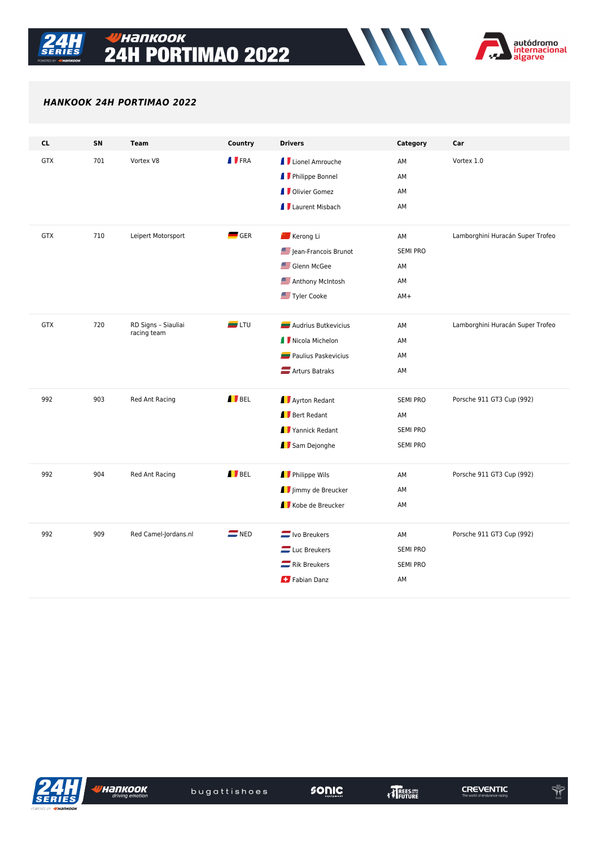

# <mark>Унапкоок</mark> **24H PORTIMAO 2022**



### HANKOOK 24H PORTIMAO 2022

| <b>CL</b>  | SN  | <b>Team</b>                        | Country            | <b>Drivers</b>           | Category        | Car                              |
|------------|-----|------------------------------------|--------------------|--------------------------|-----------------|----------------------------------|
| <b>GTX</b> | 701 | Vortex V8                          | <b>I</b> FRA       | <b>I</b> Lionel Amrouche | AM              | Vortex 1.0                       |
|            |     |                                    |                    | <b>I</b> Philippe Bonnel | AM              |                                  |
|            |     |                                    |                    | <b>I</b> Olivier Gomez   | AM              |                                  |
|            |     |                                    |                    | <b>I</b> Laurent Misbach | AM              |                                  |
| <b>GTX</b> | 710 | Leipert Motorsport                 | $\blacksquare$ GER | Kerong Li                | AM              | Lamborghini Huracán Super Trofeo |
|            |     |                                    |                    | Jean-Francois Brunot     | <b>SEMI PRO</b> |                                  |
|            |     |                                    |                    | Glenn McGee              | AM              |                                  |
|            |     |                                    |                    | Anthony McIntosh         | AM              |                                  |
|            |     |                                    |                    | Tyler Cooke              | $AM+$           |                                  |
|            |     |                                    |                    |                          |                 |                                  |
| <b>GTX</b> | 720 | RD Signs - Siauliai<br>racing team | $\blacksquare$ LTU | Audrius Butkevicius      | AM              | Lamborghini Huracán Super Trofeo |
|            |     |                                    |                    | I Nicola Michelon        | AM              |                                  |
|            |     |                                    |                    | Paulius Paskevicius      | AM              |                                  |
|            |     |                                    |                    | Arturs Batraks           | AM              |                                  |
| 992        | 903 | Red Ant Racing                     | <b>I</b> BEL       | Ayrton Redant            | <b>SEMI PRO</b> | Porsche 911 GT3 Cup (992)        |
|            |     |                                    |                    | Bert Redant              | AM              |                                  |
|            |     |                                    |                    | Yannick Redant           | <b>SEMI PRO</b> |                                  |
|            |     |                                    |                    | Sam Dejonghe             | <b>SEMI PRO</b> |                                  |
| 992        | 904 | Red Ant Racing                     | BEL                | Philippe Wils            | AM              | Porsche 911 GT3 Cup (992)        |
|            |     |                                    |                    | Jimmy de Breucker        | AM              |                                  |
|            |     |                                    |                    | Kobe de Breucker         | AM              |                                  |
|            |     |                                    |                    |                          |                 |                                  |
| 992        | 909 | Red Camel-Jordans.nl               | $\blacksquare$ NED | $\equiv$ Ivo Breukers    | AM              | Porsche 911 GT3 Cup (992)        |
|            |     |                                    |                    | $\equiv$ Luc Breukers    | <b>SEMI PRO</b> |                                  |
|            |     |                                    |                    | $\equiv$ Rik Breukers    | <b>SEMI PRO</b> |                                  |
|            |     |                                    |                    | Fabian Danz              | AM              |                                  |
|            |     |                                    |                    |                          |                 |                                  |

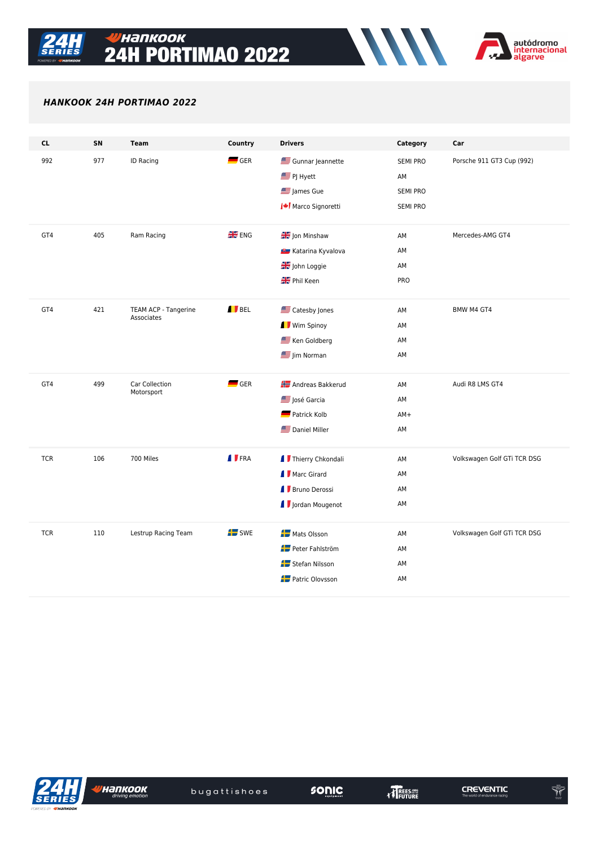

# <mark>Унапкоок</mark> **24H PORTIMAO 2022**



### HANKOOK 24H PORTIMAO 2022

| <b>CL</b>  | SN  | <b>Team</b>                        | Country            | <b>Drivers</b>           | Category        | Car                         |
|------------|-----|------------------------------------|--------------------|--------------------------|-----------------|-----------------------------|
| 992        | 977 | ID Racing                          | $\blacksquare$ GER | Gunnar Jeannette         | <b>SEMI PRO</b> | Porsche 911 GT3 Cup (992)   |
|            |     |                                    |                    | <b>SEP</b> PJ Hyett      | AM              |                             |
|            |     |                                    |                    | James Gue                | <b>SEMI PRO</b> |                             |
|            |     |                                    |                    | Marco Signoretti         | <b>SEMI PRO</b> |                             |
| GT4        | 405 | Ram Racing                         | <b>HE</b> ENG      | Jon Minshaw              | AM              | Mercedes-AMG GT4            |
|            |     |                                    |                    | Katarina Kyvalova        | AM              |                             |
|            |     |                                    |                    | John Loggie              | AM              |                             |
|            |     |                                    |                    | Phil Keen                | PRO             |                             |
|            |     |                                    |                    |                          |                 |                             |
| GT4        | 421 | TEAM ACP - Tangerine<br>Associates | BEL                | Catesby Jones            | AM              | BMW M4 GT4                  |
|            |     |                                    |                    | Wim Spinoy               | AM              |                             |
|            |     |                                    |                    | Ken Goldberg             | AM              |                             |
|            |     |                                    |                    | Jim Norman               | AM              |                             |
|            |     |                                    |                    |                          |                 |                             |
| GT4        | 499 | Car Collection<br>Motorsport       | $\blacksquare$ GER | <b>Andreas Bakkerud</b>  | AM              | Audi R8 LMS GT4             |
|            |     |                                    |                    | José Garcia              | AM              |                             |
|            |     |                                    |                    | Patrick Kolb             | $AM+$           |                             |
|            |     |                                    |                    | Daniel Miller            | AM              |                             |
| <b>TCR</b> | 106 | 700 Miles                          | <b>I</b> FRA       | I Thierry Chkondali      | AM              | Volkswagen Golf GTi TCR DSG |
|            |     |                                    |                    | I Marc Girard            | AM              |                             |
|            |     |                                    |                    | Bruno Derossi            | AM              |                             |
|            |     |                                    |                    | <b>J</b> Jordan Mougenot | AM              |                             |
|            |     |                                    |                    |                          |                 |                             |
| <b>TCR</b> | 110 | Lestrup Racing Team                | $\mathbf{L}$ swe   | <b>For</b> Mats Olsson   | AM              | Volkswagen Golf GTi TCR DSG |
|            |     |                                    |                    | Peter Fahlström          | AM              |                             |
|            |     |                                    |                    | Stefan Nilsson           | AM              |                             |
|            |     |                                    |                    | Patric Olovsson          | AM              |                             |